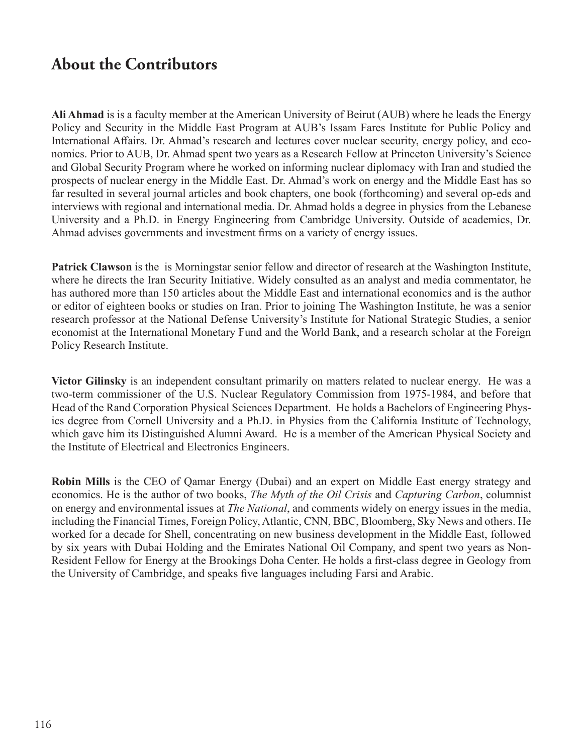## **About the Contributors**

**Ali Ahmad** is is a faculty member at the American University of Beirut (AUB) where he leads the Energy Policy and Security in the Middle East Program at AUB's Issam Fares Institute for Public Policy and International Affairs. Dr. Ahmad's research and lectures cover nuclear security, energy policy, and economics. Prior to AUB, Dr. Ahmad spent two years as a Research Fellow at Princeton University's Science and Global Security Program where he worked on informing nuclear diplomacy with Iran and studied the prospects of nuclear energy in the Middle East. Dr. Ahmad's work on energy and the Middle East has so far resulted in several journal articles and book chapters, one book (forthcoming) and several op-eds and interviews with regional and international media. Dr. Ahmad holds a degree in physics from the Lebanese University and a Ph.D. in Energy Engineering from Cambridge University. Outside of academics, Dr. Ahmad advises governments and investment firms on a variety of energy issues.

**Patrick Clawson** is the is Morningstar senior fellow and director of research at the Washington Institute, where he directs the Iran Security Initiative. Widely consulted as an analyst and media commentator, he has authored more than 150 articles about the Middle East and international economics and is the author or editor of eighteen books or studies on Iran. Prior to joining The Washington Institute, he was a senior research professor at the National Defense University's Institute for National Strategic Studies, a senior economist at the International Monetary Fund and the World Bank, and a research scholar at the Foreign Policy Research Institute.

**Victor Gilinsky** is an independent consultant primarily on matters related to nuclear energy. He was a two-term commissioner of the U.S. Nuclear Regulatory Commission from 1975-1984, and before that Head of the Rand Corporation Physical Sciences Department. He holds a Bachelors of Engineering Physics degree from Cornell University and a Ph.D. in Physics from the California Institute of Technology, which gave him its Distinguished Alumni Award. He is a member of the American Physical Society and the Institute of Electrical and Electronics Engineers.

**Robin Mills** is the CEO of Qamar Energy (Dubai) and an expert on Middle East energy strategy and economics. He is the author of two books, *The Myth of the Oil Crisis* and *Capturing Carbon*, columnist on energy and environmental issues at *The National*, and comments widely on energy issues in the media, including the Financial Times, Foreign Policy, Atlantic, CNN, BBC, Bloomberg, Sky News and others. He worked for a decade for Shell, concentrating on new business development in the Middle East, followed by six years with Dubai Holding and the Emirates National Oil Company, and spent two years as Non-Resident Fellow for Energy at the Brookings Doha Center. He holds a first-class degree in Geology from the University of Cambridge, and speaks five languages including Farsi and Arabic.